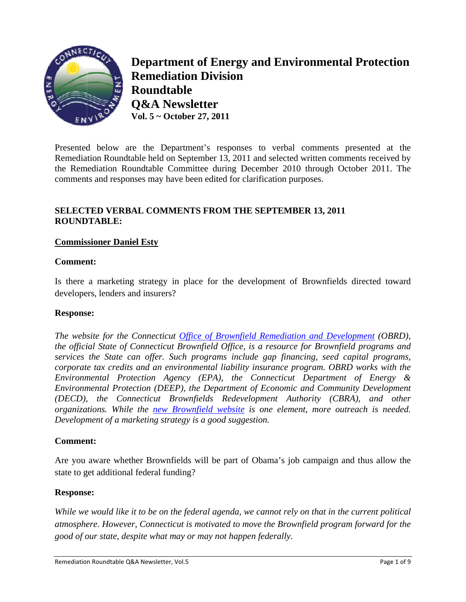

**Department of Energy and Environmental Protection Remediation Division Roundta able Q&A Ne ewsletter Q&A Newsletter**<br>Vol. 5 ~ October 27, 2011

Presented below are the Department's responses to verbal comments presented at the Remediation Roundtable held on September 13, 2011 and selected written comments received by the Remediation Roundtable Committee during December 2010 through October 2011. The comments and responses may have been edited for clarification purposes.

# **SELECTED VERBAL COMMENTS FROM THE SEPTEMBER 13, 2011 ROUND DTABLE:**

## **Commissioner Daniel Esty**

### $Comment:$

Is there a marketing strategy in place for the development of Brownfields directed toward developers, lenders and insurers?

### **Respons e:**

*The website for the Connecticut Office of Brownfield Remediation and Development (OBRD), the official State of Connecticut Brownfield Office, is a resource for Brownfield programs and services the State can offer. Such programs include gap financing, seed capital programs, corporate tax credits and an environmental liability insurance program. OBRD works with the Environmental Protection Agency (EPA), the Connecticut Department of Energy & Environmental Protection (DEEP), the Department of Economic and Community Development* (*DECD*), the Connecticut Brownfields Redevelopment Authority (CBRA), and other *definitions. While the new Brownfield website is one element, more outreach is needed. Development of a marketing strategy is a good suggestion.* 

### $Comment:$

Are you aware whether Brownfields will be part of Obama's job campaign and thus allow the state to get additional federal funding?

### **Respons e:**

While we would like it to be on the federal agenda, we cannot rely on that in the current political *atmosphere. However, Connecticut is motivated to move the Brownfield program forward for the good of o our state, des spite what m may or may n not happen fe federally.*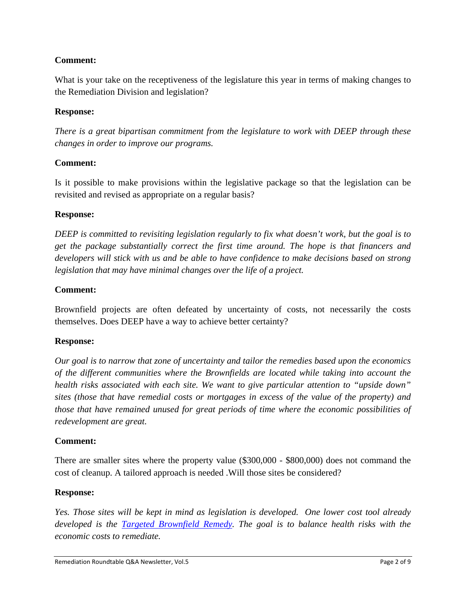What is your take on the receptiveness of the legislature this year in terms of making changes to the Remediation Division and legislation?

## **Response:**

*There is a great bipartisan commitment from the legislature to work with DEEP through these changes in order to improve our programs.* 

## **Comment:**

Is it possible to make provisions within the legislative package so that the legislation can be revisited and revised as appropriate on a regular basis?

### **Response:**

*DEEP is committed to revisiting legislation regularly to fix what doesn't work, but the goal is to get the package substantially correct the first time around. The hope is that financers and developers will stick with us and be able to have confidence to make decisions based on strong legislation that may have minimal changes over the life of a project.* 

## **Comment:**

Brownfield projects are often defeated by uncertainty of costs, not necessarily the costs themselves. Does DEEP have a way to achieve better certainty?

### **Response:**

*Our goal is to narrow that zone of uncertainty and tailor the remedies based upon the economics of the different communities where the Brownfields are located while taking into account the health risks associated with each site. We want to give particular attention to "upside down" sites (those that have remedial costs or mortgages in excess of the value of the property) and those that have remained unused for great periods of time where the economic possibilities of redevelopment are great.* 

### **Comment:**

There are smaller sites where the property value (\$300,000 - \$800,000) does not command the cost of cleanup. A tailored approach is needed .Will those sites be considered?

### **Response:**

*Yes. Those sites will be kept in mind as legislation is developed. One lower cost tool already developed is the Targeted Brownfield Remedy. The goal is to balance health risks with the economic costs to remediate.*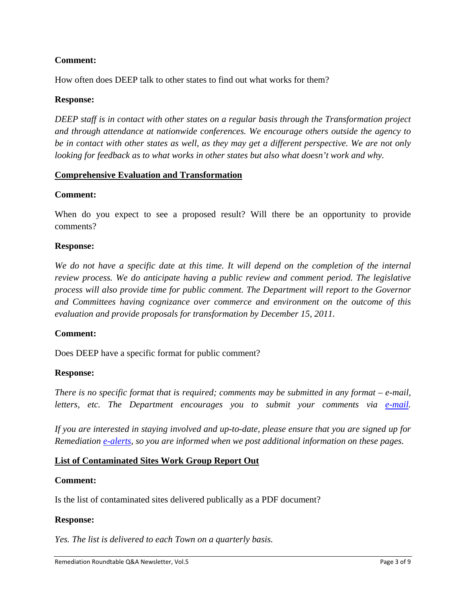How often does DEEP talk to other states to find out what works for them?

## **Response:**

*DEEP staff is in contact with other states on a regular basis through the Transformation project and through attendance at nationwide conferences. We encourage others outside the agency to be in contact with other states as well, as they may get a different perspective. We are not only looking for feedback as to what works in other states but also what doesn't work and why.* 

## **Comprehensive Evaluation and Transformation**

## **Comment:**

When do you expect to see a proposed result? Will there be an opportunity to provide comments?

## **Response:**

*We do not have a specific date at this time. It will depend on the completion of the internal review process. We do anticipate having a public review and comment period. The legislative process will also provide time for public comment. The Department will report to the Governor and Committees having cognizance over commerce and environment on the outcome of this evaluation and provide proposals for transformation by December 15, 2011.*

### **Comment:**

Does DEEP have a specific format for public comment?

### **Response:**

*There is no specific format that is required; comments may be submitted in any format – e-mail, letters, etc. The Department encourages you to submit your comments via e-mail.* 

*If you are interested in staying involved and up-to-date, please ensure that you are signed up for Remediation e-alerts, so you are informed when we post additional information on these pages.* 

# **List of Contaminated Sites Work Group Report Out**

### **Comment:**

Is the list of contaminated sites delivered publically as a PDF document?

### **Response:**

*Yes. The list is delivered to each Town on a quarterly basis.*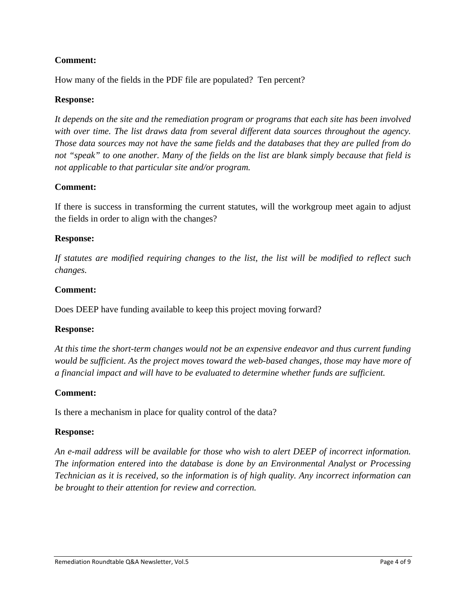How many of the fields in the PDF file are populated? Ten percent?

## **Response:**

*It depends on the site and the remediation program or programs that each site has been involved with over time. The list draws data from several different data sources throughout the agency. Those data sources may not have the same fields and the databases that they are pulled from do not "speak" to one another. Many of the fields on the list are blank simply because that field is not applicable to that particular site and/or program.* 

## **Comment:**

If there is success in transforming the current statutes, will the workgroup meet again to adjust the fields in order to align with the changes?

## **Response:**

*If statutes are modified requiring changes to the list, the list will be modified to reflect such changes.* 

### **Comment:**

Does DEEP have funding available to keep this project moving forward?

### **Response:**

*At this time the short-term changes would not be an expensive endeavor and thus current funding would be sufficient. As the project moves toward the web-based changes, those may have more of a financial impact and will have to be evaluated to determine whether funds are sufficient.* 

### **Comment:**

Is there a mechanism in place for quality control of the data?

### **Response:**

*An e-mail address will be available for those who wish to alert DEEP of incorrect information. The information entered into the database is done by an Environmental Analyst or Processing Technician as it is received, so the information is of high quality. Any incorrect information can be brought to their attention for review and correction.*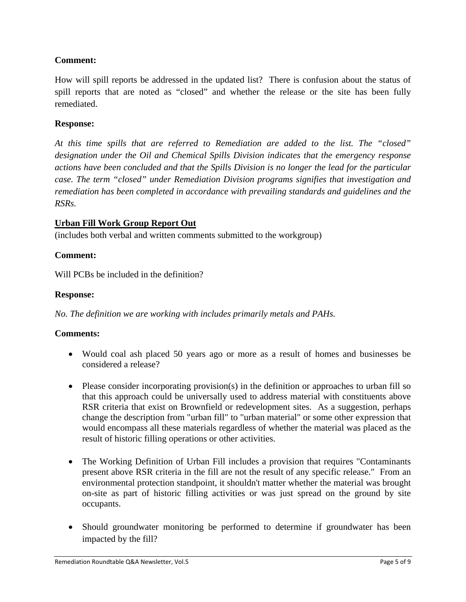How will spill reports be addressed in the updated list? There is confusion about the status of spill reports that are noted as "closed" and whether the release or the site has been fully remediated.

## **Response:**

*At this time spills that are referred to Remediation are added to the list. The "closed" designation under the Oil and Chemical Spills Division indicates that the emergency response actions have been concluded and that the Spills Division is no longer the lead for the particular case. The term "closed" under Remediation Division programs signifies that investigation and remediation has been completed in accordance with prevailing standards and guidelines and the RSRs.* 

## **Urban Fill Work Group Report Out**

(includes both verbal and written comments submitted to the workgroup)

## **Comment:**

Will PCBs be included in the definition?

## **Response:**

*No. The definition we are working with includes primarily metals and PAHs.* 

### **Comments:**

- Would coal ash placed 50 years ago or more as a result of homes and businesses be considered a release?
- Please consider incorporating provision(s) in the definition or approaches to urban fill so that this approach could be universally used to address material with constituents above RSR criteria that exist on Brownfield or redevelopment sites. As a suggestion, perhaps change the description from "urban fill" to "urban material" or some other expression that would encompass all these materials regardless of whether the material was placed as the result of historic filling operations or other activities.
- The Working Definition of Urban Fill includes a provision that requires "Contaminants" present above RSR criteria in the fill are not the result of any specific release." From an environmental protection standpoint, it shouldn't matter whether the material was brought on-site as part of historic filling activities or was just spread on the ground by site occupants.
- Should groundwater monitoring be performed to determine if groundwater has been impacted by the fill?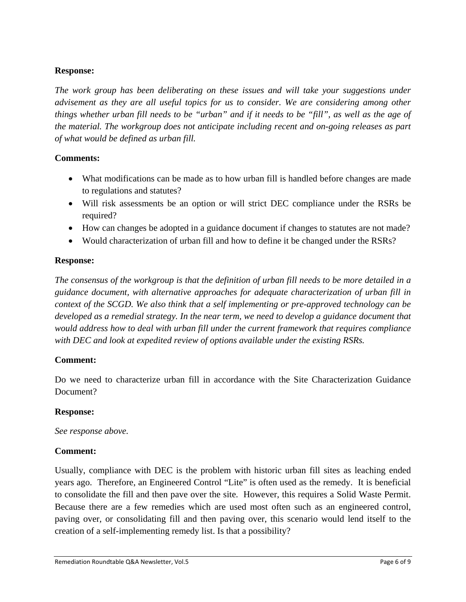# **Response:**

*The work group has been deliberating on these issues and will take your suggestions under advisement as they are all useful topics for us to consider. We are considering among other things whether urban fill needs to be "urban" and if it needs to be "fill", as well as the age of the material. The workgroup does not anticipate including recent and on-going releases as part of what would be defined as urban fill.* 

# **Comments:**

- What modifications can be made as to how urban fill is handled before changes are made to regulations and statutes?
- Will risk assessments be an option or will strict DEC compliance under the RSRs be required?
- How can changes be adopted in a guidance document if changes to statutes are not made?
- Would characterization of urban fill and how to define it be changed under the RSRs?

# **Response:**

*The consensus of the workgroup is that the definition of urban fill needs to be more detailed in a guidance document, with alternative approaches for adequate characterization of urban fill in context of the SCGD. We also think that a self implementing or pre-approved technology can be developed as a remedial strategy. In the near term, we need to develop a guidance document that would address how to deal with urban fill under the current framework that requires compliance with DEC and look at expedited review of options available under the existing RSRs.* 

# **Comment:**

Do we need to characterize urban fill in accordance with the Site Characterization Guidance Document?

# **Response:**

*See response above.* 

# **Comment:**

Usually, compliance with DEC is the problem with historic urban fill sites as leaching ended years ago. Therefore, an Engineered Control "Lite" is often used as the remedy. It is beneficial to consolidate the fill and then pave over the site. However, this requires a Solid Waste Permit. Because there are a few remedies which are used most often such as an engineered control, paving over, or consolidating fill and then paving over, this scenario would lend itself to the creation of a self-implementing remedy list. Is that a possibility?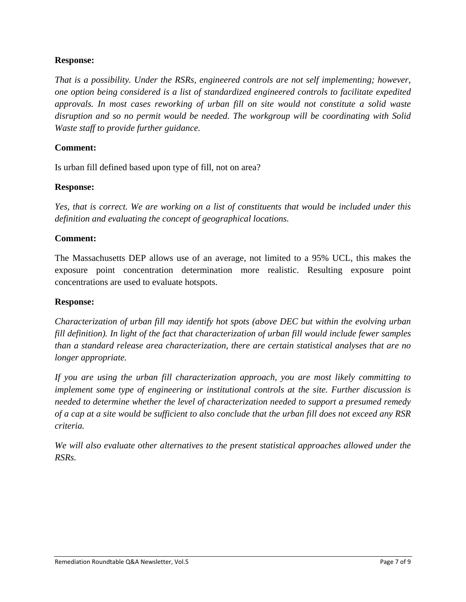## **Response:**

*That is a possibility. Under the RSRs, engineered controls are not self implementing; however, one option being considered is a list of standardized engineered controls to facilitate expedited approvals. In most cases reworking of urban fill on site would not constitute a solid waste disruption and so no permit would be needed. The workgroup will be coordinating with Solid Waste staff to provide further guidance.* 

## **Comment:**

Is urban fill defined based upon type of fill, not on area?

### **Response:**

*Yes, that is correct. We are working on a list of constituents that would be included under this definition and evaluating the concept of geographical locations.* 

## **Comment:**

The Massachusetts DEP allows use of an average, not limited to a 95% UCL, this makes the exposure point concentration determination more realistic. Resulting exposure point concentrations are used to evaluate hotspots.

#### **Response:**

*Characterization of urban fill may identify hot spots (above DEC but within the evolving urban fill definition). In light of the fact that characterization of urban fill would include fewer samples than a standard release area characterization, there are certain statistical analyses that are no longer appropriate.* 

*If you are using the urban fill characterization approach, you are most likely committing to implement some type of engineering or institutional controls at the site. Further discussion is needed to determine whether the level of characterization needed to support a presumed remedy of a cap at a site would be sufficient to also conclude that the urban fill does not exceed any RSR criteria.* 

*We will also evaluate other alternatives to the present statistical approaches allowed under the RSRs.*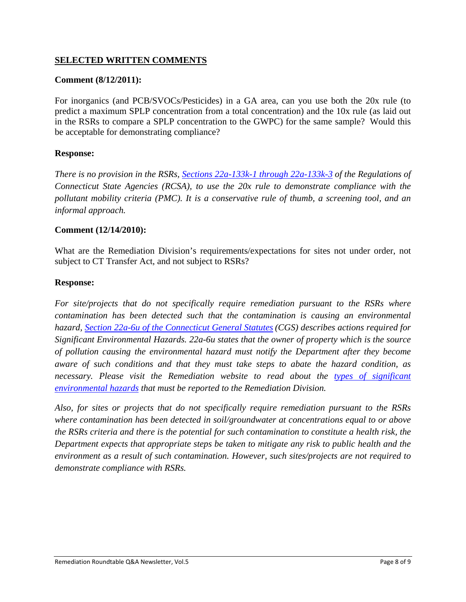# **SELECTED WRITTEN COMMENTS**

## **Comment (8/12/2011):**

For inorganics (and PCB/SVOCs/Pesticides) in a GA area, can you use both the 20x rule (to predict a maximum SPLP concentration from a total concentration) and the 10x rule (as laid out in the RSRs to compare a SPLP concentration to the GWPC) for the same sample? Would this be acceptable for demonstrating compliance?

## **Response:**

*There is no provision in the RSRs, Sections 22a-133k-1 through 22a-133k-3 of the Regulations of Connecticut State Agencies (RCSA), to use the 20x rule to demonstrate compliance with the pollutant mobility criteria (PMC). It is a conservative rule of thumb, a screening tool, and an informal approach.*

### **Comment (12/14/2010):**

What are the Remediation Division's requirements/expectations for sites not under order, not subject to CT Transfer Act, and not subject to RSRs?

### **Response:**

*For site/projects that do not specifically require remediation pursuant to the RSRs where contamination has been detected such that the contamination is causing an environmental hazard, Section 22a-6u of the Connecticut General Statutes (CGS) describes actions required for Significant Environmental Hazards. 22a-6u states that the owner of property which is the source of pollution causing the environmental hazard must notify the Department after they become aware of such conditions and that they must take steps to abate the hazard condition, as necessary. Please visit the Remediation website to read about the types of significant environmental hazards that must be reported to the Remediation Division.* 

*Also, for sites or projects that do not specifically require remediation pursuant to the RSRs where contamination has been detected in soil/groundwater at concentrations equal to or above the RSRs criteria and there is the potential for such contamination to constitute a health risk, the Department expects that appropriate steps be taken to mitigate any risk to public health and the environment as a result of such contamination. However, such sites/projects are not required to demonstrate compliance with RSRs.*